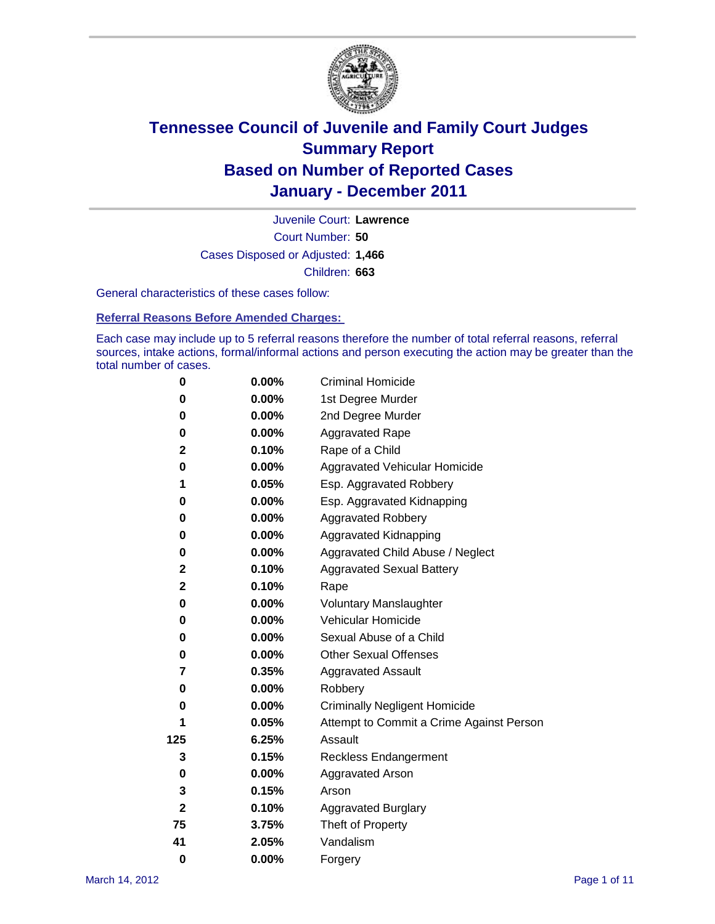

Court Number: **50** Juvenile Court: **Lawrence** Cases Disposed or Adjusted: **1,466** Children: **663**

General characteristics of these cases follow:

**Referral Reasons Before Amended Charges:** 

Each case may include up to 5 referral reasons therefore the number of total referral reasons, referral sources, intake actions, formal/informal actions and person executing the action may be greater than the total number of cases.

| 0            | $0.00\%$ | <b>Criminal Homicide</b>                 |
|--------------|----------|------------------------------------------|
| 0            | 0.00%    | 1st Degree Murder                        |
| 0            | $0.00\%$ | 2nd Degree Murder                        |
| 0            | $0.00\%$ | <b>Aggravated Rape</b>                   |
| 2            | 0.10%    | Rape of a Child                          |
| 0            | 0.00%    | Aggravated Vehicular Homicide            |
| 1            | 0.05%    | Esp. Aggravated Robbery                  |
| 0            | $0.00\%$ | Esp. Aggravated Kidnapping               |
| 0            | $0.00\%$ | <b>Aggravated Robbery</b>                |
| 0            | $0.00\%$ | Aggravated Kidnapping                    |
| 0            | 0.00%    | Aggravated Child Abuse / Neglect         |
| 2            | 0.10%    | <b>Aggravated Sexual Battery</b>         |
| $\mathbf 2$  | 0.10%    | Rape                                     |
| 0            | $0.00\%$ | <b>Voluntary Manslaughter</b>            |
| 0            | 0.00%    | Vehicular Homicide                       |
| 0            | 0.00%    | Sexual Abuse of a Child                  |
| 0            | $0.00\%$ | <b>Other Sexual Offenses</b>             |
| 7            | 0.35%    | <b>Aggravated Assault</b>                |
| 0            | $0.00\%$ | Robbery                                  |
| 0            | 0.00%    | <b>Criminally Negligent Homicide</b>     |
| 1            | 0.05%    | Attempt to Commit a Crime Against Person |
| 125          | 6.25%    | Assault                                  |
| 3            | 0.15%    | <b>Reckless Endangerment</b>             |
| 0            | 0.00%    | <b>Aggravated Arson</b>                  |
| 3            | 0.15%    | Arson                                    |
| $\mathbf{2}$ | 0.10%    | <b>Aggravated Burglary</b>               |
| 75           | 3.75%    | Theft of Property                        |
| 41           | 2.05%    | Vandalism                                |
| 0            | 0.00%    | Forgery                                  |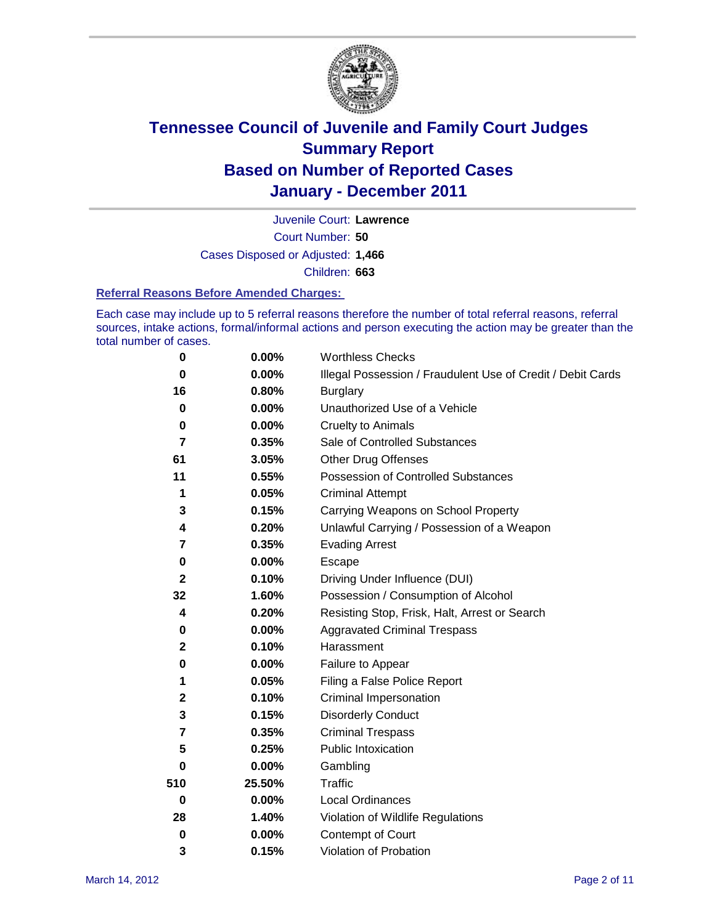

Court Number: **50** Juvenile Court: **Lawrence** Cases Disposed or Adjusted: **1,466** Children: **663**

#### **Referral Reasons Before Amended Charges:**

Each case may include up to 5 referral reasons therefore the number of total referral reasons, referral sources, intake actions, formal/informal actions and person executing the action may be greater than the total number of cases.

| $\pmb{0}$    | 0.00%    | <b>Worthless Checks</b>                                     |
|--------------|----------|-------------------------------------------------------------|
| 0            | 0.00%    | Illegal Possession / Fraudulent Use of Credit / Debit Cards |
| 16           | 0.80%    | <b>Burglary</b>                                             |
| $\bf{0}$     | $0.00\%$ | Unauthorized Use of a Vehicle                               |
| 0            | $0.00\%$ | <b>Cruelty to Animals</b>                                   |
| 7            | 0.35%    | Sale of Controlled Substances                               |
| 61           | 3.05%    | <b>Other Drug Offenses</b>                                  |
| 11           | 0.55%    | Possession of Controlled Substances                         |
| 1            | 0.05%    | <b>Criminal Attempt</b>                                     |
| 3            | 0.15%    | Carrying Weapons on School Property                         |
| 4            | 0.20%    | Unlawful Carrying / Possession of a Weapon                  |
| 7            | 0.35%    | <b>Evading Arrest</b>                                       |
| 0            | 0.00%    | Escape                                                      |
| $\mathbf{2}$ | 0.10%    | Driving Under Influence (DUI)                               |
| 32           | 1.60%    | Possession / Consumption of Alcohol                         |
| 4            | 0.20%    | Resisting Stop, Frisk, Halt, Arrest or Search               |
| 0            | $0.00\%$ | <b>Aggravated Criminal Trespass</b>                         |
| 2            | 0.10%    | Harassment                                                  |
| $\pmb{0}$    | 0.00%    | Failure to Appear                                           |
| 1            | 0.05%    | Filing a False Police Report                                |
| 2            | 0.10%    | Criminal Impersonation                                      |
| 3            | 0.15%    | <b>Disorderly Conduct</b>                                   |
| 7            | 0.35%    | <b>Criminal Trespass</b>                                    |
| 5            | 0.25%    | <b>Public Intoxication</b>                                  |
| 0            | 0.00%    | Gambling                                                    |
| 510          | 25.50%   | <b>Traffic</b>                                              |
| 0            | $0.00\%$ | Local Ordinances                                            |
| 28           | 1.40%    | Violation of Wildlife Regulations                           |
| $\mathbf 0$  | $0.00\%$ | Contempt of Court                                           |
| 3            | 0.15%    | Violation of Probation                                      |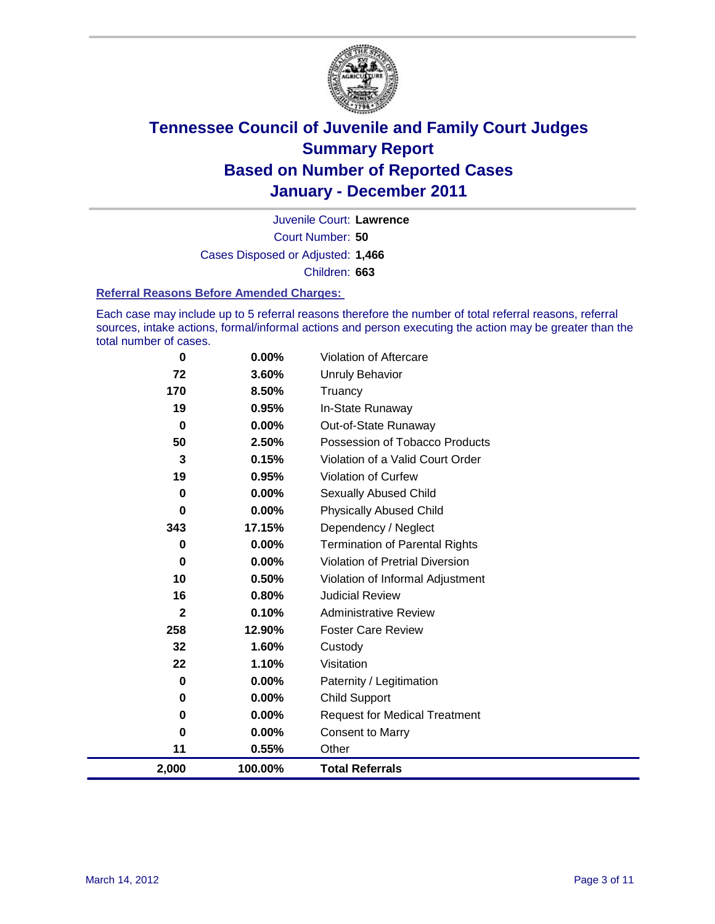

Court Number: **50** Juvenile Court: **Lawrence** Cases Disposed or Adjusted: **1,466** Children: **663**

#### **Referral Reasons Before Amended Charges:**

Each case may include up to 5 referral reasons therefore the number of total referral reasons, referral sources, intake actions, formal/informal actions and person executing the action may be greater than the total number of cases.

| 0           | 0.00%    | Violation of Aftercare                 |
|-------------|----------|----------------------------------------|
| 72          | 3.60%    | <b>Unruly Behavior</b>                 |
| 170         | 8.50%    | Truancy                                |
| 19          | 0.95%    | In-State Runaway                       |
| 0           | $0.00\%$ | Out-of-State Runaway                   |
| 50          | 2.50%    | Possession of Tobacco Products         |
| 3           | 0.15%    | Violation of a Valid Court Order       |
| 19          | 0.95%    | Violation of Curfew                    |
| $\mathbf 0$ | $0.00\%$ | Sexually Abused Child                  |
| 0           | 0.00%    | <b>Physically Abused Child</b>         |
| 343         | 17.15%   | Dependency / Neglect                   |
| $\mathbf 0$ | 0.00%    | <b>Termination of Parental Rights</b>  |
| $\mathbf 0$ | 0.00%    | <b>Violation of Pretrial Diversion</b> |
| 10          | 0.50%    | Violation of Informal Adjustment       |
| 16          | 0.80%    | <b>Judicial Review</b>                 |
| 2           | 0.10%    | <b>Administrative Review</b>           |
| 258         | 12.90%   | <b>Foster Care Review</b>              |
| 32          | 1.60%    | Custody                                |
| 22          | 1.10%    | Visitation                             |
| 0           | $0.00\%$ | Paternity / Legitimation               |
| 0           | 0.00%    | <b>Child Support</b>                   |
| $\bf{0}$    | 0.00%    | <b>Request for Medical Treatment</b>   |
| 0           | $0.00\%$ | <b>Consent to Marry</b>                |
| 11          | 0.55%    | Other                                  |
| 2,000       | 100.00%  | <b>Total Referrals</b>                 |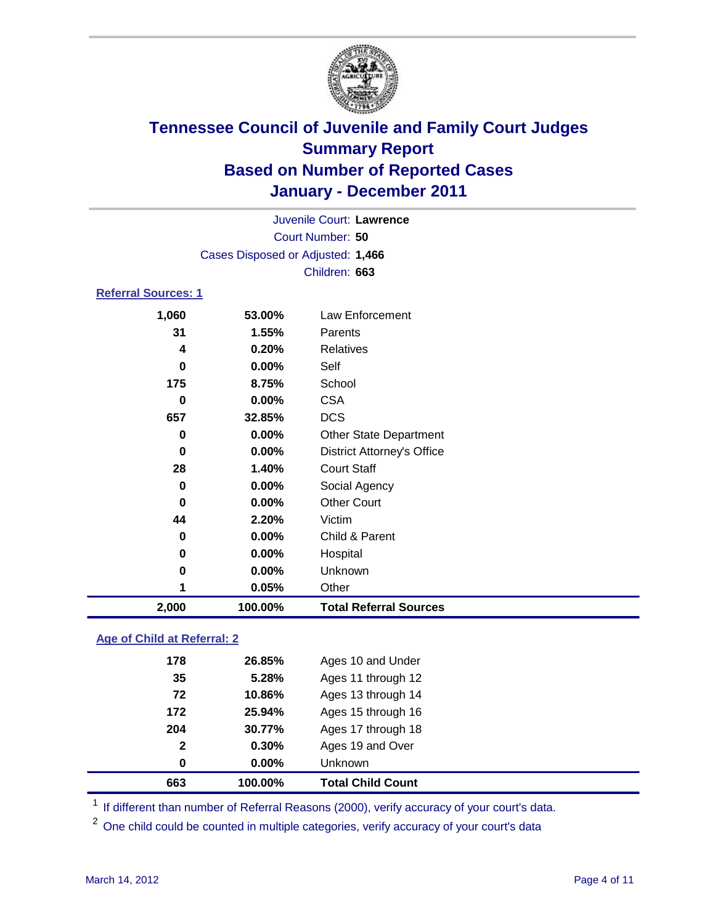

|                     |          | Juvenile Court: Lawrence          |  |  |  |
|---------------------|----------|-----------------------------------|--|--|--|
| Court Number: 50    |          |                                   |  |  |  |
|                     |          | Cases Disposed or Adjusted: 1,466 |  |  |  |
|                     |          | Children: 663                     |  |  |  |
| Referral Sources: 1 |          |                                   |  |  |  |
| 1,060               | 53.00%   | Law Enforcement                   |  |  |  |
| 31                  | 1.55%    | Parents                           |  |  |  |
| 4                   | 0.20%    | Relatives                         |  |  |  |
| 0                   | $0.00\%$ | Self                              |  |  |  |
| 175                 | 8.75%    | School                            |  |  |  |
| 0                   | $0.00\%$ | <b>CSA</b>                        |  |  |  |
| 657                 | 32.85%   | <b>DCS</b>                        |  |  |  |
| 0                   | $0.00\%$ | <b>Other State Department</b>     |  |  |  |
| 0                   | $0.00\%$ | <b>District Attorney's Office</b> |  |  |  |
| 28                  | 1.40%    | <b>Court Staff</b>                |  |  |  |
| 0                   | $0.00\%$ | Social Agency                     |  |  |  |
| 0                   | $0.00\%$ | <b>Other Court</b>                |  |  |  |
| 44                  | 2.20%    | Victim                            |  |  |  |
| 0                   | $0.00\%$ | Child & Parent                    |  |  |  |
| 0                   | 0.00%    | Hospital                          |  |  |  |

 **0.00%** Unknown **0.05%** Other **2,000 100.00% Total Referral Sources**

#### **Age of Child at Referral: 2**

| 663          | 100.00% | <b>Total Child Count</b> |  |
|--------------|---------|--------------------------|--|
| 0            | 0.00%   | <b>Unknown</b>           |  |
| $\mathbf{2}$ | 0.30%   | Ages 19 and Over         |  |
| 204          | 30.77%  | Ages 17 through 18       |  |
| 172          | 25.94%  | Ages 15 through 16       |  |
| 72           | 10.86%  | Ages 13 through 14       |  |
| 35           | 5.28%   | Ages 11 through 12       |  |
| 178          | 26.85%  | Ages 10 and Under        |  |
|              |         |                          |  |

<sup>1</sup> If different than number of Referral Reasons (2000), verify accuracy of your court's data.

<sup>2</sup> One child could be counted in multiple categories, verify accuracy of your court's data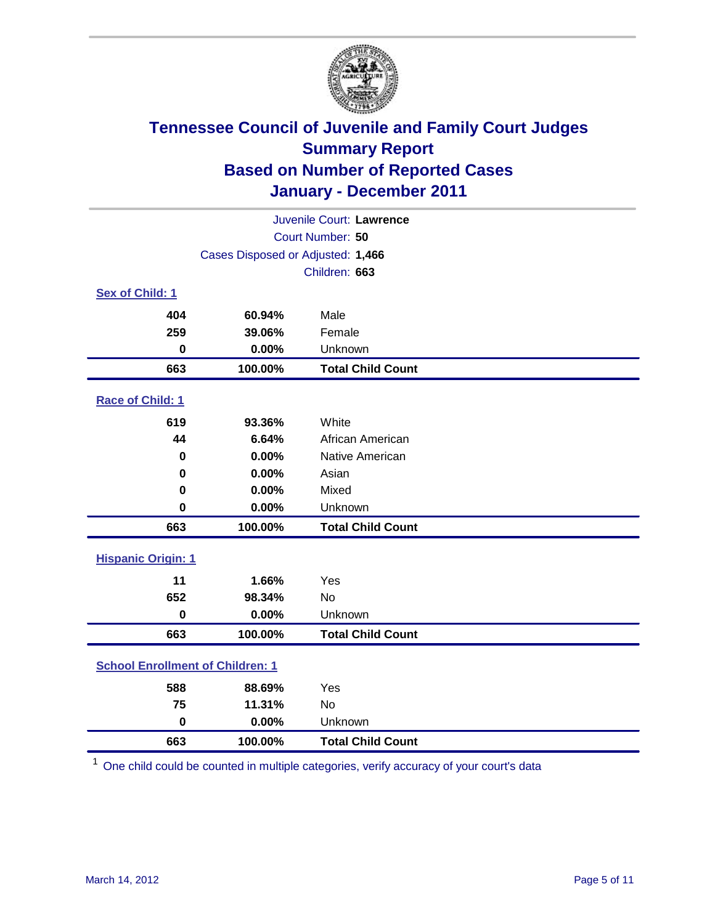

| Juvenile Court: Lawrence                |                                   |                          |  |  |
|-----------------------------------------|-----------------------------------|--------------------------|--|--|
| Court Number: 50                        |                                   |                          |  |  |
|                                         | Cases Disposed or Adjusted: 1,466 |                          |  |  |
|                                         |                                   | Children: 663            |  |  |
| Sex of Child: 1                         |                                   |                          |  |  |
| 404                                     | 60.94%                            | Male                     |  |  |
| 259                                     | 39.06%                            | Female                   |  |  |
| $\bf{0}$                                | 0.00%                             | Unknown                  |  |  |
| 663                                     | 100.00%                           | <b>Total Child Count</b> |  |  |
| Race of Child: 1                        |                                   |                          |  |  |
| 619                                     | 93.36%                            | White                    |  |  |
| 44                                      | 6.64%                             | African American         |  |  |
| 0                                       | 0.00%                             | Native American          |  |  |
| 0                                       | 0.00%                             | Asian                    |  |  |
| 0                                       | 0.00%                             | Mixed                    |  |  |
| $\bf{0}$                                | 0.00%                             | Unknown                  |  |  |
| 663                                     | 100.00%                           | <b>Total Child Count</b> |  |  |
| <b>Hispanic Origin: 1</b>               |                                   |                          |  |  |
| 11                                      | 1.66%                             | Yes                      |  |  |
| 652                                     | 98.34%                            | <b>No</b>                |  |  |
| $\mathbf 0$                             | 0.00%                             | Unknown                  |  |  |
| 663                                     | 100.00%                           | <b>Total Child Count</b> |  |  |
| <b>School Enrollment of Children: 1</b> |                                   |                          |  |  |
| 588                                     | 88.69%                            | Yes                      |  |  |
| 75                                      | 11.31%                            | No                       |  |  |
| $\mathbf 0$                             | 0.00%                             | Unknown                  |  |  |
| 663                                     | 100.00%                           | <b>Total Child Count</b> |  |  |

One child could be counted in multiple categories, verify accuracy of your court's data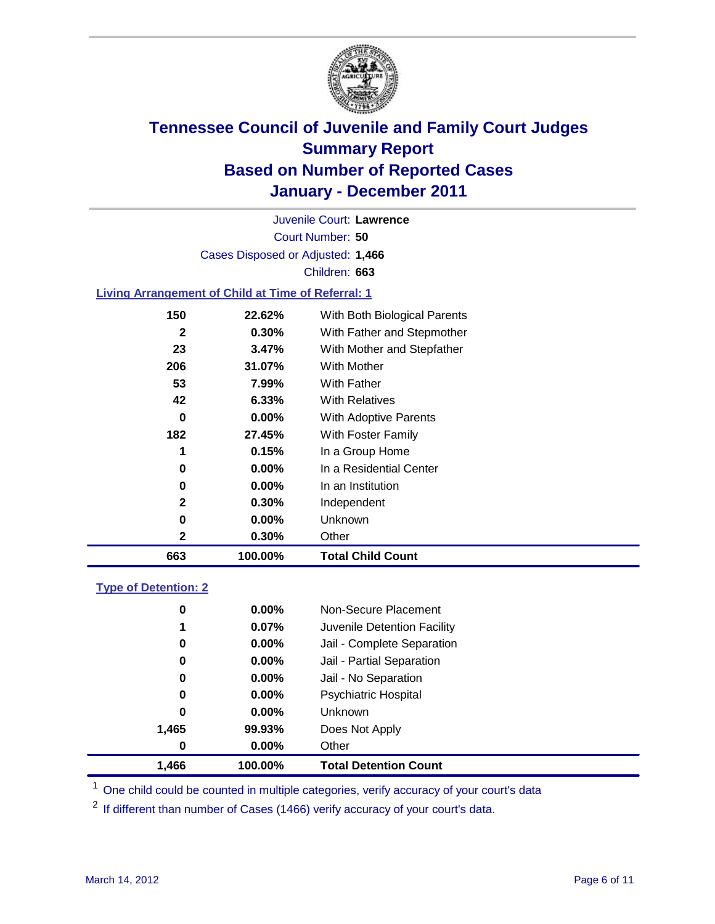

Court Number: **50** Juvenile Court: **Lawrence** Cases Disposed or Adjusted: **1,466** Children: **663**

#### **Living Arrangement of Child at Time of Referral: 1**

| 663 | 100.00%  | <b>Total Child Count</b>     |
|-----|----------|------------------------------|
| 2   | 0.30%    | Other                        |
| 0   | $0.00\%$ | Unknown                      |
| 2   | 0.30%    | Independent                  |
| 0   | $0.00\%$ | In an Institution            |
| 0   | $0.00\%$ | In a Residential Center      |
| 1   | 0.15%    | In a Group Home              |
| 182 | 27.45%   | With Foster Family           |
| 0   | $0.00\%$ | With Adoptive Parents        |
| 42  | 6.33%    | <b>With Relatives</b>        |
| 53  | 7.99%    | <b>With Father</b>           |
| 206 | 31.07%   | With Mother                  |
| 23  | 3.47%    | With Mother and Stepfather   |
| 2   | $0.30\%$ | With Father and Stepmother   |
| 150 | 22.62%   | With Both Biological Parents |
|     |          |                              |

#### **Type of Detention: 2**

| 1,466    | 100.00%  | <b>Total Detention Count</b> |
|----------|----------|------------------------------|
| $\bf{0}$ | $0.00\%$ | Other                        |
| 1,465    | 99.93%   | Does Not Apply               |
| 0        | $0.00\%$ | Unknown                      |
| 0        | $0.00\%$ | <b>Psychiatric Hospital</b>  |
| 0        | 0.00%    | Jail - No Separation         |
| 0        | 0.00%    | Jail - Partial Separation    |
| 0        | $0.00\%$ | Jail - Complete Separation   |
| 1        | 0.07%    | Juvenile Detention Facility  |
| 0        | $0.00\%$ | Non-Secure Placement         |
|          |          |                              |

<sup>1</sup> One child could be counted in multiple categories, verify accuracy of your court's data

<sup>2</sup> If different than number of Cases (1466) verify accuracy of your court's data.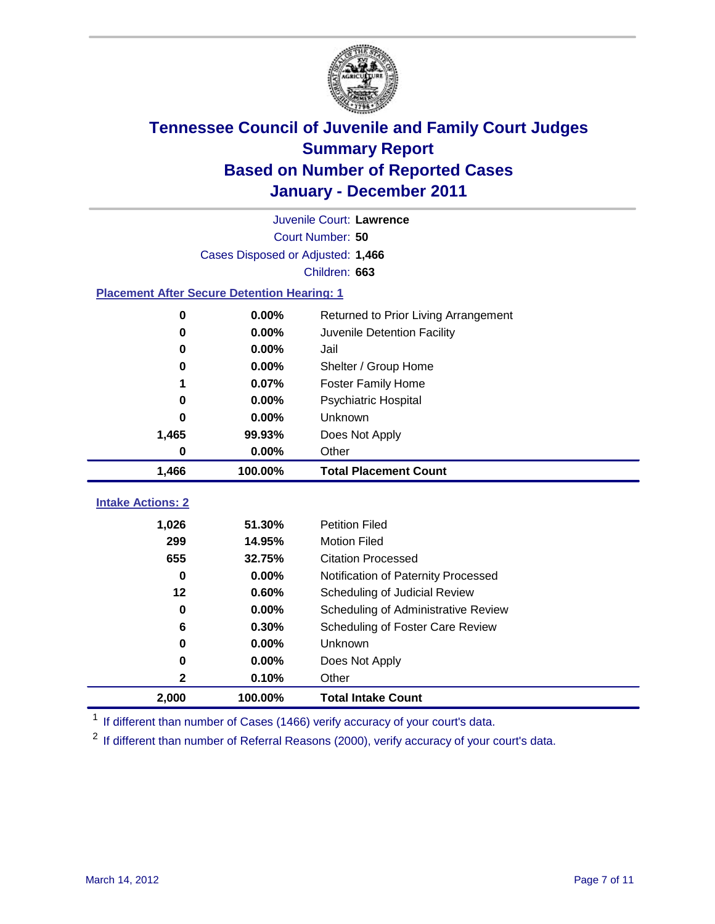

|                                                    | Juvenile Court: Lawrence          |                                      |  |  |  |
|----------------------------------------------------|-----------------------------------|--------------------------------------|--|--|--|
|                                                    | Court Number: 50                  |                                      |  |  |  |
|                                                    | Cases Disposed or Adjusted: 1,466 |                                      |  |  |  |
|                                                    |                                   | Children: 663                        |  |  |  |
| <b>Placement After Secure Detention Hearing: 1</b> |                                   |                                      |  |  |  |
| 0                                                  | 0.00%                             | Returned to Prior Living Arrangement |  |  |  |
| 0                                                  | 0.00%                             | Juvenile Detention Facility          |  |  |  |
| 0                                                  | 0.00%                             | Jail                                 |  |  |  |
| 0                                                  | 0.00%                             | Shelter / Group Home                 |  |  |  |
| 1                                                  | 0.07%                             | <b>Foster Family Home</b>            |  |  |  |
| 0                                                  | 0.00%                             | Psychiatric Hospital                 |  |  |  |
| 0                                                  | 0.00%                             | <b>Unknown</b>                       |  |  |  |
| 1,465                                              | 99.93%                            | Does Not Apply                       |  |  |  |
| 0                                                  | 0.00%                             | Other                                |  |  |  |
| 1,466                                              | 100.00%                           | <b>Total Placement Count</b>         |  |  |  |
|                                                    |                                   |                                      |  |  |  |
| <b>Intake Actions: 2</b>                           |                                   |                                      |  |  |  |
| 1,026                                              | 51.30%                            | <b>Petition Filed</b>                |  |  |  |
| 299                                                | 14.95%                            | <b>Motion Filed</b>                  |  |  |  |
| 655                                                | 32.75%                            | <b>Citation Processed</b>            |  |  |  |
| $\bf{0}$                                           | 0.00%                             | Notification of Paternity Processed  |  |  |  |
| 12                                                 | 0.60%                             | Scheduling of Judicial Review        |  |  |  |
| 0                                                  | 0.00%                             | Scheduling of Administrative Review  |  |  |  |
| 6                                                  | 0.30%                             | Scheduling of Foster Care Review     |  |  |  |
| 0                                                  | 0.00%                             | Unknown                              |  |  |  |
| 0                                                  | 0.00%                             | Does Not Apply                       |  |  |  |
| 2                                                  | 0.10%                             | Other                                |  |  |  |
| 2,000                                              | 100.00%                           | <b>Total Intake Count</b>            |  |  |  |

<sup>1</sup> If different than number of Cases (1466) verify accuracy of your court's data.

<sup>2</sup> If different than number of Referral Reasons (2000), verify accuracy of your court's data.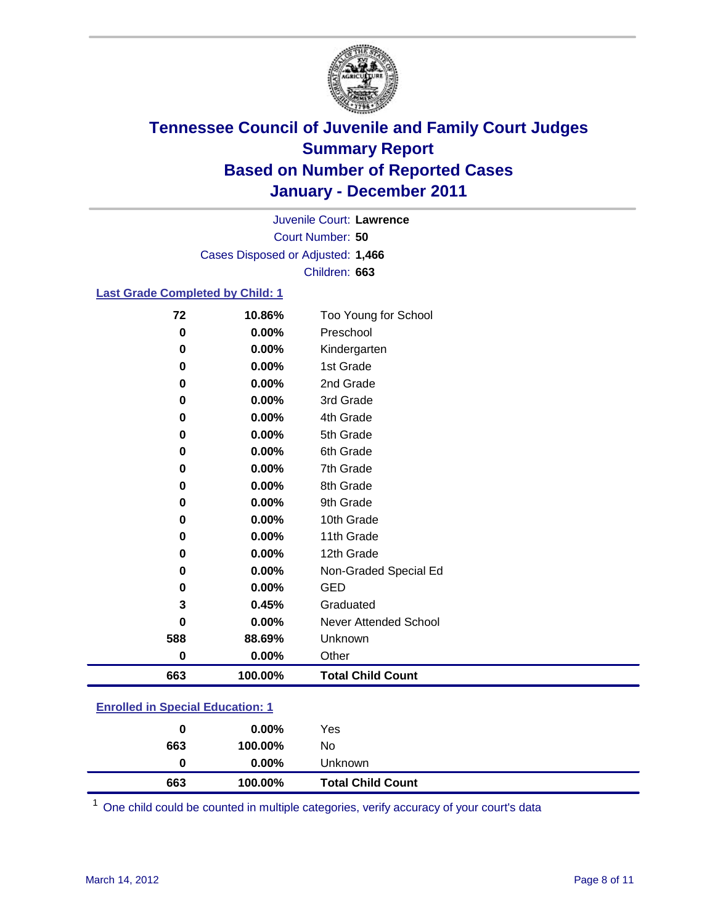

Court Number: **50** Juvenile Court: **Lawrence** Cases Disposed or Adjusted: **1,466** Children: **663**

#### **Last Grade Completed by Child: 1**

| 0           |          |                              |
|-------------|----------|------------------------------|
|             | 0.00%    | Preschool                    |
| 0           | 0.00%    | Kindergarten                 |
| 0           | 0.00%    | 1st Grade                    |
| 0           | 0.00%    | 2nd Grade                    |
| 0           | 0.00%    | 3rd Grade                    |
| 0           | 0.00%    | 4th Grade                    |
| 0           | 0.00%    | 5th Grade                    |
| 0           | 0.00%    | 6th Grade                    |
| 0           | 0.00%    | 7th Grade                    |
| 0           | 0.00%    | 8th Grade                    |
| 0           | 0.00%    | 9th Grade                    |
| 0           | 0.00%    | 10th Grade                   |
| 0           | 0.00%    | 11th Grade                   |
| 0           | 0.00%    | 12th Grade                   |
| 0           | 0.00%    | Non-Graded Special Ed        |
| 0           | 0.00%    | <b>GED</b>                   |
| 3           | 0.45%    | Graduated                    |
| 0           | 0.00%    | <b>Never Attended School</b> |
| 588         | 88.69%   | Unknown                      |
| $\mathbf 0$ | $0.00\%$ | Other                        |
| 663         | 100.00%  | <b>Total Child Count</b>     |

### **Enrolled in Special Education: 1**

| 0   | $0.00\%$ | Yes                      |
|-----|----------|--------------------------|
| 663 | 100.00%  | No                       |
|     | $0.00\%$ | Unknown                  |
| 663 | 100.00%  | <b>Total Child Count</b> |

One child could be counted in multiple categories, verify accuracy of your court's data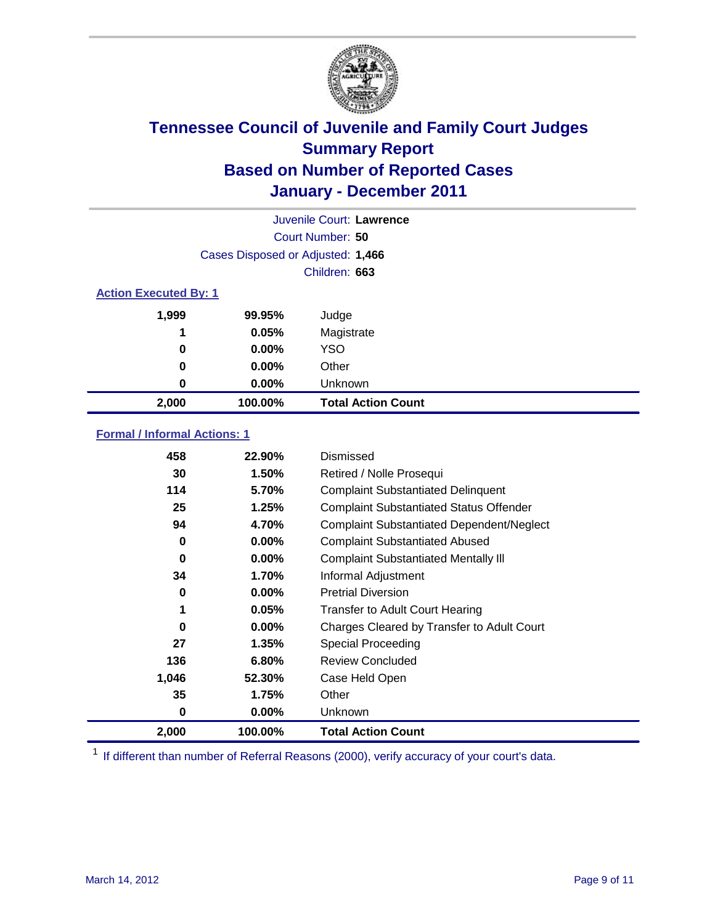

|                  | Juvenile Court: Lawrence          |                           |  |  |  |
|------------------|-----------------------------------|---------------------------|--|--|--|
| Court Number: 50 |                                   |                           |  |  |  |
|                  | Cases Disposed or Adjusted: 1,466 |                           |  |  |  |
|                  | Children: 663                     |                           |  |  |  |
|                  | <b>Action Executed By: 1</b>      |                           |  |  |  |
| 1,999            | 99.95%                            | Judge                     |  |  |  |
| 1                | 0.05%                             | Magistrate                |  |  |  |
| 0                | $0.00\%$                          | <b>YSO</b>                |  |  |  |
| 0                | $0.00\%$                          | Other                     |  |  |  |
| 0                | 0.00%                             | Unknown                   |  |  |  |
| 2,000            | 100.00%                           | <b>Total Action Count</b> |  |  |  |

### **Formal / Informal Actions: 1**

| 458   | 22.90%   | Dismissed                                        |
|-------|----------|--------------------------------------------------|
| 30    | 1.50%    | Retired / Nolle Prosequi                         |
| 114   | 5.70%    | <b>Complaint Substantiated Delinquent</b>        |
| 25    | 1.25%    | <b>Complaint Substantiated Status Offender</b>   |
| 94    | 4.70%    | <b>Complaint Substantiated Dependent/Neglect</b> |
| 0     | $0.00\%$ | <b>Complaint Substantiated Abused</b>            |
| 0     | $0.00\%$ | <b>Complaint Substantiated Mentally III</b>      |
| 34    | 1.70%    | Informal Adjustment                              |
| 0     | $0.00\%$ | <b>Pretrial Diversion</b>                        |
| 1     | 0.05%    | <b>Transfer to Adult Court Hearing</b>           |
| 0     | $0.00\%$ | Charges Cleared by Transfer to Adult Court       |
| 27    | 1.35%    | Special Proceeding                               |
| 136   | 6.80%    | <b>Review Concluded</b>                          |
| 1,046 | 52.30%   | Case Held Open                                   |
| 35    | 1.75%    | Other                                            |
| 0     | $0.00\%$ | <b>Unknown</b>                                   |
| 2,000 | 100.00%  | <b>Total Action Count</b>                        |

<sup>1</sup> If different than number of Referral Reasons (2000), verify accuracy of your court's data.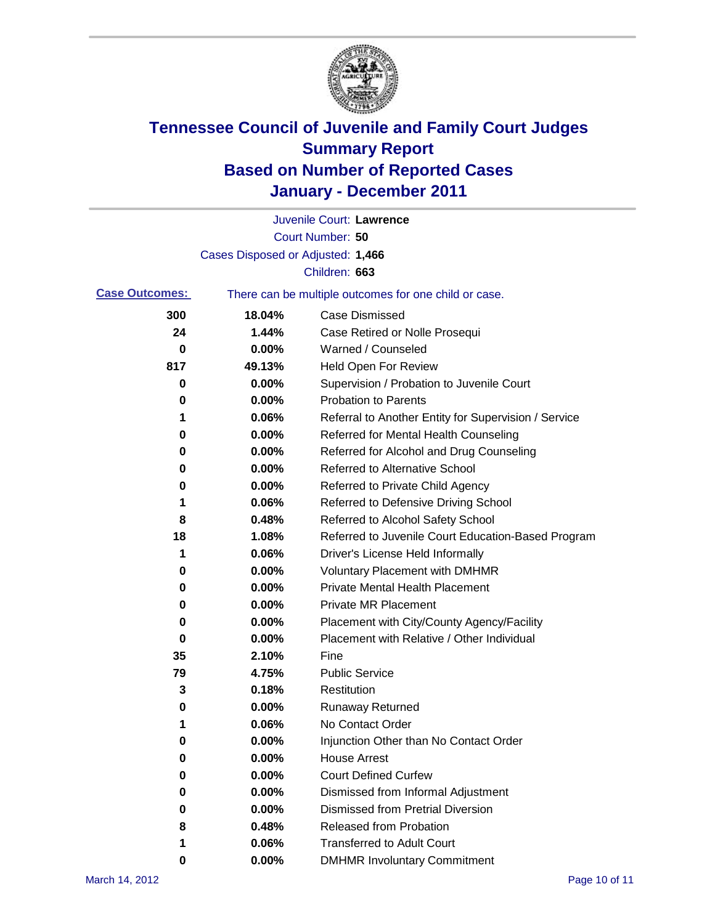

|                       |                                   | Juvenile Court: Lawrence                              |
|-----------------------|-----------------------------------|-------------------------------------------------------|
|                       |                                   | Court Number: 50                                      |
|                       | Cases Disposed or Adjusted: 1,466 |                                                       |
|                       |                                   | Children: 663                                         |
| <b>Case Outcomes:</b> |                                   | There can be multiple outcomes for one child or case. |
| 300                   | 18.04%                            | <b>Case Dismissed</b>                                 |
| 24                    | 1.44%                             | Case Retired or Nolle Prosequi                        |
| 0                     | 0.00%                             | Warned / Counseled                                    |
| 817                   | 49.13%                            | <b>Held Open For Review</b>                           |
| 0                     | 0.00%                             | Supervision / Probation to Juvenile Court             |
| 0                     | 0.00%                             | <b>Probation to Parents</b>                           |
| 1                     | 0.06%                             | Referral to Another Entity for Supervision / Service  |
| 0                     | 0.00%                             | Referred for Mental Health Counseling                 |
| 0                     | 0.00%                             | Referred for Alcohol and Drug Counseling              |
| 0                     | 0.00%                             | <b>Referred to Alternative School</b>                 |
| 0                     | 0.00%                             | Referred to Private Child Agency                      |
| 1                     | 0.06%                             | Referred to Defensive Driving School                  |
| 8                     | 0.48%                             | Referred to Alcohol Safety School                     |
| 18                    | 1.08%                             | Referred to Juvenile Court Education-Based Program    |
| 1                     | 0.06%                             | Driver's License Held Informally                      |
| 0                     | 0.00%                             | <b>Voluntary Placement with DMHMR</b>                 |
| 0                     | 0.00%                             | <b>Private Mental Health Placement</b>                |
| 0                     | 0.00%                             | <b>Private MR Placement</b>                           |
| 0                     | 0.00%                             | Placement with City/County Agency/Facility            |
| 0                     | 0.00%                             | Placement with Relative / Other Individual            |
| 35                    | 2.10%                             | Fine                                                  |
| 79                    | 4.75%                             | <b>Public Service</b>                                 |
| 3                     | 0.18%                             | Restitution                                           |
| 0                     | 0.00%                             | <b>Runaway Returned</b>                               |
| 1                     | 0.06%                             | No Contact Order                                      |
| 0                     | 0.00%                             | Injunction Other than No Contact Order                |
| 0                     | 0.00%                             | <b>House Arrest</b>                                   |
| 0                     | 0.00%                             | <b>Court Defined Curfew</b>                           |
| 0                     | 0.00%                             | Dismissed from Informal Adjustment                    |
| 0                     | 0.00%                             | <b>Dismissed from Pretrial Diversion</b>              |
| 8                     | 0.48%                             | <b>Released from Probation</b>                        |
| 1                     | 0.06%                             | <b>Transferred to Adult Court</b>                     |
| 0                     | $0.00\%$                          | <b>DMHMR Involuntary Commitment</b>                   |